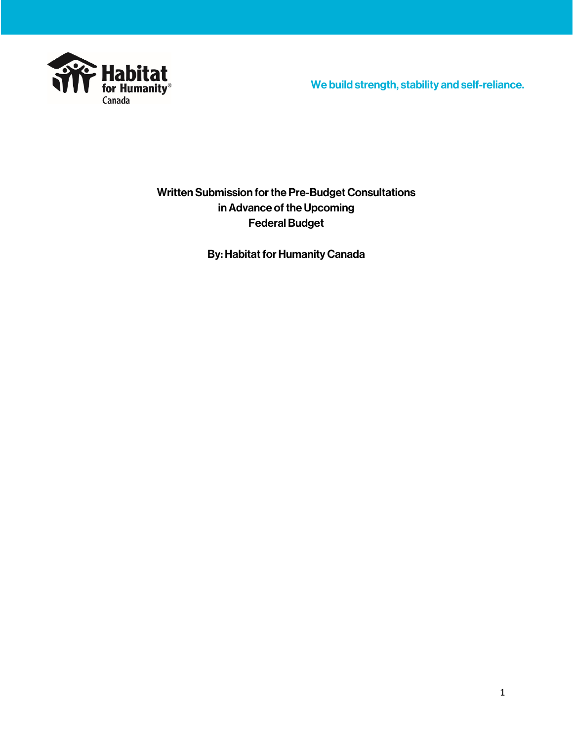

We build strength, stability and self-reliance.

Written Submission for the Pre-Budget Consultations in Advance of the Upcoming Federal Budget

By: Habitat for Humanity Canada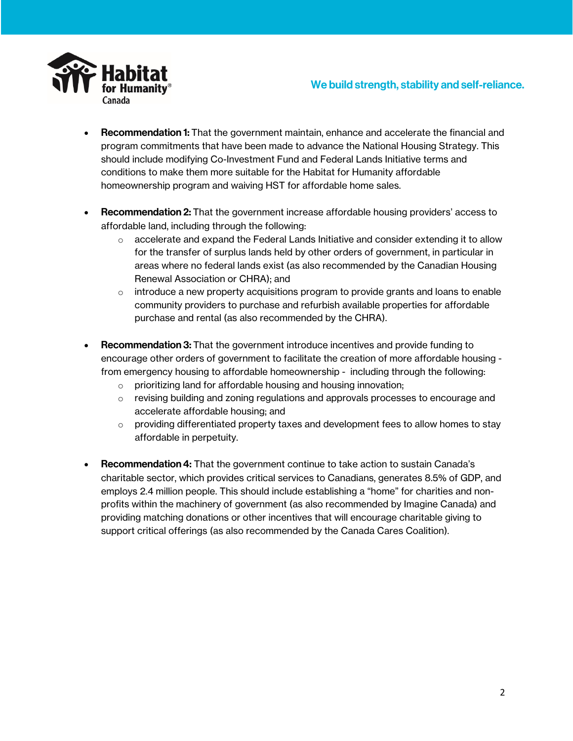

- Recommendation 1: That the government maintain, enhance and accelerate the financial and program commitments that have been made to advance the National Housing Strategy. This should include modifying Co-Investment Fund and Federal Lands Initiative terms and conditions to make them more suitable for the Habitat for Humanity affordable homeownership program and waiving HST for affordable home sales.
- Recommendation 2: That the government increase affordable housing providers' access to affordable land, including through the following:
	- $\circ$  accelerate and expand the Federal Lands Initiative and consider extending it to allow for the transfer of surplus lands held by other orders of government, in particular in areas where no federal lands exist (as also recommended by the Canadian Housing Renewal Association or CHRA); and
	- $\circ$  introduce a new property acquisitions program to provide grants and loans to enable community providers to purchase and refurbish available properties for affordable purchase and rental (as also recommended by the CHRA).
- Recommendation 3: That the government introduce incentives and provide funding to encourage other orders of government to facilitate the creation of more affordable housing from emergency housing to affordable homeownership - including through the following:
	- o prioritizing land for affordable housing and housing innovation;
	- $\circ$  revising building and zoning regulations and approvals processes to encourage and accelerate affordable housing; and
	- $\circ$  providing differentiated property taxes and development fees to allow homes to stay affordable in perpetuity.
- Recommendation 4: That the government continue to take action to sustain Canada's charitable sector, which provides critical services to Canadians, generates 8.5% of GDP, and employs 2.4 million people. This should include establishing a "home" for charities and nonprofits within the machinery of government (as also recommended by Imagine Canada) and providing matching donations or other incentives that will encourage charitable giving to support critical offerings (as also recommended by the Canada Cares Coalition).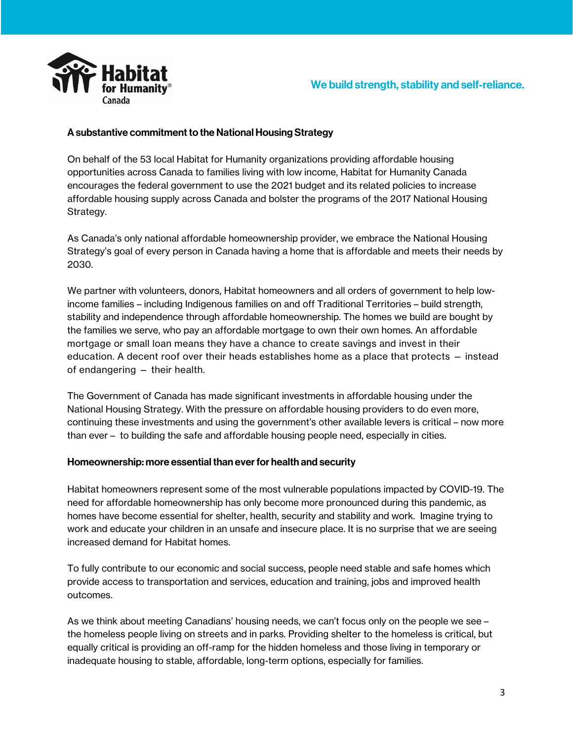

## A substantive commitment to the National Housing Strategy

On behalf of the 53 local Habitat for Humanity organizations providing affordable housing opportunities across Canada to families living with low income, Habitat for Humanity Canada encourages the federal government to use the 2021 budget and its related policies to increase affordable housing supply across Canada and bolster the programs of the 2017 National Housing Strategy.

As Canada's only national affordable homeownership provider, we embrace the National Housing Strategy's goal of every person in Canada having a home that is affordable and meets their needs by 2030.

We partner with volunteers, donors, Habitat homeowners and all orders of government to help lowincome families – including Indigenous families on and off Traditional Territories – build strength, stability and independence through affordable homeownership. The homes we build are bought by the families we serve, who pay an affordable mortgage to own their own homes. An affordable mortgage or small loan means they have a chance to create savings and invest in their education. A decent roof over their heads establishes home as a place that protects — instead of endangering — their health.

The Government of Canada has made significant investments in affordable housing under the National Housing Strategy. With the pressure on affordable housing providers to do even more, continuing these investments and using the government's other available levers is critical – now more than ever – to building the safe and affordable housing people need, especially in cities.

## Homeownership: more essential than ever for health and security

Habitat homeowners represent some of the most vulnerable populations impacted by COVID-19. The need for affordable homeownership has only become more pronounced during this pandemic, as homes have become essential for shelter, health, security and stability and work. Imagine trying to work and educate your children in an unsafe and insecure place. It is no surprise that we are seeing increased demand for Habitat homes.

To fully contribute to our economic and social success, people need stable and safe homes which provide access to transportation and services, education and training, jobs and improved health outcomes.

As we think about meeting Canadians' housing needs, we can't focus only on the people we see – the homeless people living on streets and in parks. Providing shelter to the homeless is critical, but equally critical is providing an off-ramp for the hidden homeless and those living in temporary or inadequate housing to stable, affordable, long-term options, especially for families.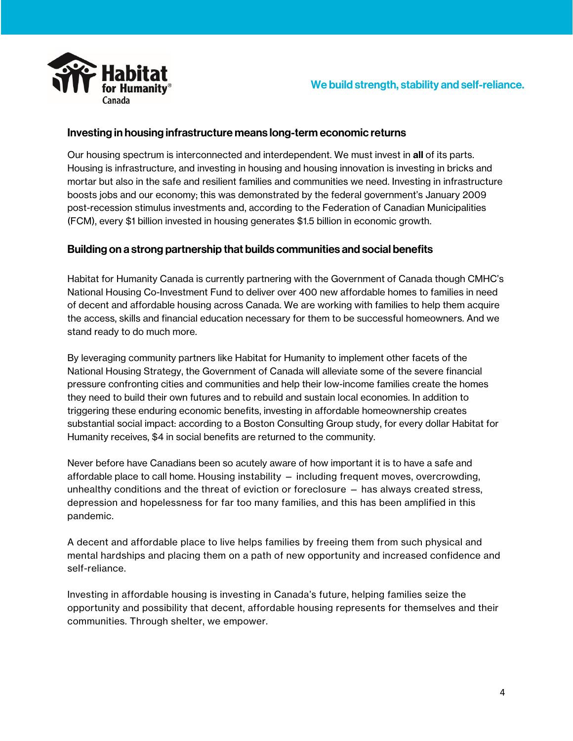



## Investing in housing infrastructure means long-term economic returns

Our housing spectrum is interconnected and interdependent. We must invest in all of its parts. Housing is infrastructure, and investing in housing and housing innovation is investing in bricks and mortar but also in the safe and resilient families and communities we need. Investing in infrastructure boosts jobs and our economy; this was demonstrated by the federal government's January 2009 post-recession stimulus investments and, according to the Federation of Canadian Municipalities (FCM), every \$1 billion invested in housing generates \$1.5 billion in economic growth.

## Building on a strong partnership that builds communities and social benefits

Habitat for Humanity Canada is currently partnering with the Government of Canada though CMHC's National Housing Co-Investment Fund to deliver over 400 new affordable homes to families in need of decent and affordable housing across Canada. We are working with families to help them acquire the access, skills and financial education necessary for them to be successful homeowners. And we stand ready to do much more.

By leveraging community partners like Habitat for Humanity to implement other facets of the National Housing Strategy, the Government of Canada will alleviate some of the severe financial pressure confronting cities and communities and help their low-income families create the homes they need to build their own futures and to rebuild and sustain local economies. In addition to triggering these enduring economic benefits, investing in affordable homeownership creates substantial social impact: according to a Boston Consulting Group study, for every dollar Habitat for Humanity receives, \$4 in social benefits are returned to the community.

Never before have Canadians been so acutely aware of how important it is to have a safe and affordable place to call home. Housing instability — including frequent moves, overcrowding, unhealthy conditions and the threat of eviction or foreclosure — has always created stress, depression and hopelessness for far too many families, and this has been amplified in this pandemic.

A decent and affordable place to live helps families by freeing them from such physical and mental hardships and placing them on a path of new opportunity and increased confidence and self-reliance.

Investing in affordable housing is investing in Canada's future, helping families seize the opportunity and possibility that decent, affordable housing represents for themselves and their communities. Through shelter, we empower.